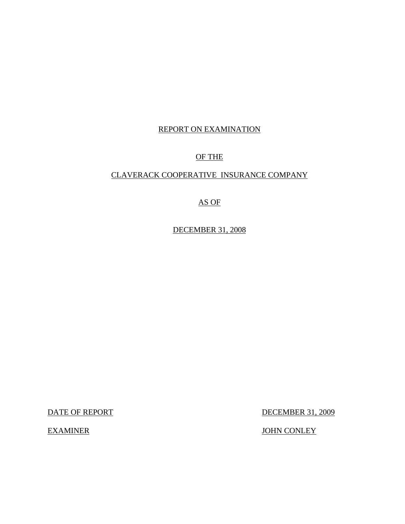# REPORT ON EXAMINATION

# OF THE

## CLAVERACK COOPERATIVE INSURANCE COMPANY

# AS OF

DECEMBER 31, 2008

DATE OF REPORT DECEMBER 31, 2009

EXAMINER JOHN CONLEY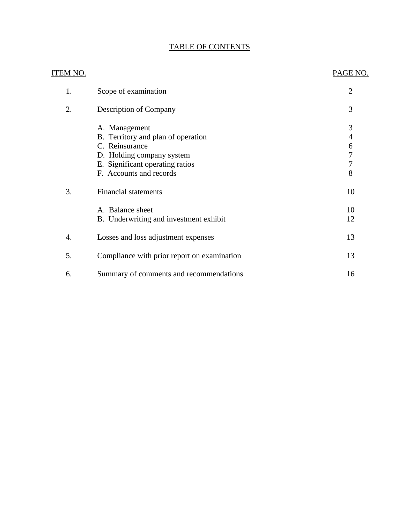# TABLE OF CONTENTS

| <b>ITEM NO.</b> |                                             | PAGE NO.       |
|-----------------|---------------------------------------------|----------------|
| 1.              | Scope of examination                        | $\overline{2}$ |
| 2.              | Description of Company                      | 3              |
|                 | A. Management                               | 3              |
|                 | B. Territory and plan of operation          | 4              |
|                 | C. Reinsurance                              | 6              |
|                 | D. Holding company system                   | $\overline{7}$ |
|                 | E. Significant operating ratios             | $\overline{7}$ |
|                 | F. Accounts and records                     | 8              |
| 3.              | <b>Financial statements</b>                 | 10             |
|                 | A. Balance sheet                            | 10             |
|                 | B. Underwriting and investment exhibit      | 12             |
| 4.              | Losses and loss adjustment expenses         | 13             |
| 5.              | Compliance with prior report on examination | 13             |
| 6.              | Summary of comments and recommendations     | 16             |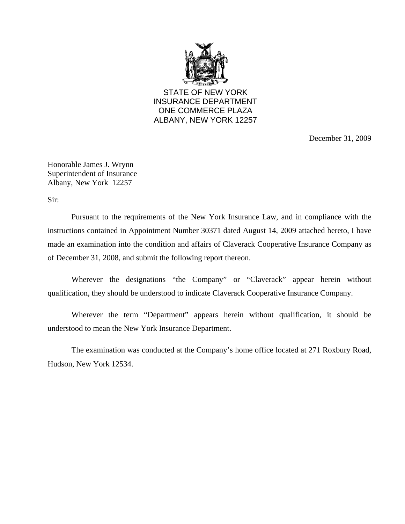

STATE OF NEW YORK INSURANCE DEPARTMENT ONE COMMERCE PLAZA ALBANY, NEW YORK 12257

December 31, 2009

Honorable James J. Wrynn Superintendent of Insurance Albany, New York 12257

Sir:

Pursuant to the requirements of the New York Insurance Law, and in compliance with the instructions contained in Appointment Number 30371 dated August 14, 2009 attached hereto, I have made an examination into the condition and affairs of Claverack Cooperative Insurance Company as of December 31, 2008, and submit the following report thereon.

Wherever the designations "the Company" or "Claverack" appear herein without qualification, they should be understood to indicate Claverack Cooperative Insurance Company.

Wherever the term "Department" appears herein without qualification, it should be understood to mean the New York Insurance Department.

The examination was conducted at the Company's home office located at 271 Roxbury Road, Hudson, New York 12534.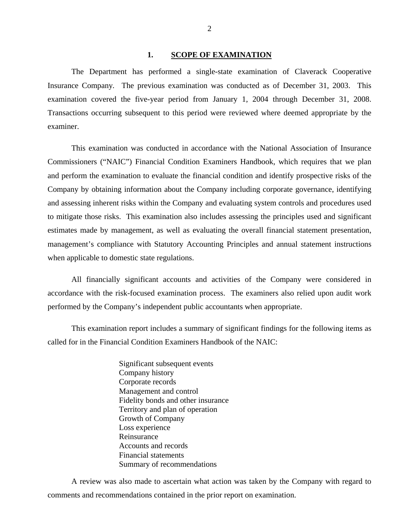#### **1. SCOPE OF EXAMINATION**

<span id="page-3-0"></span>The Department has performed a single-state examination of Claverack Cooperative Insurance Company*.* The previous examination was conducted as of December 31, 2003. This examination covered the five-year period from January 1, 2004 through December 31, 2008. Transactions occurring subsequent to this period were reviewed where deemed appropriate by the examiner.

This examination was conducted in accordance with the National Association of Insurance Commissioners ("NAIC") Financial Condition Examiners Handbook, which requires that we plan and perform the examination to evaluate the financial condition and identify prospective risks of the Company by obtaining information about the Company including corporate governance, identifying and assessing inherent risks within the Company and evaluating system controls and procedures used to mitigate those risks. This examination also includes assessing the principles used and significant estimates made by management, as well as evaluating the overall financial statement presentation, management's compliance with Statutory Accounting Principles and annual statement instructions when applicable to domestic state regulations.

All financially significant accounts and activities of the Company were considered in accordance with the risk-focused examination process. The examiners also relied upon audit work performed by the Company's independent public accountants when appropriate.

This examination report includes a summary of significant findings for the following items as called for in the Financial Condition Examiners Handbook of the NAIC:

> Significant subsequent events Company history Corporate records Management and control Fidelity bonds and other insurance Territory and plan of operation Growth of Company Loss experience Reinsurance Accounts and records Financial statements Summary of recommendations

A review was also made to ascertain what action was taken by the Company with regard to comments and recommendations contained in the prior report on examination.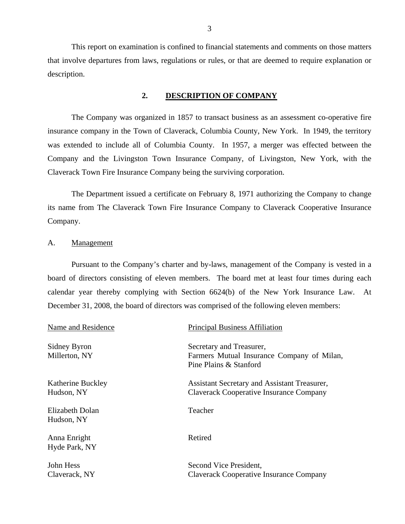This report on examination is confined to financial statements and comments on those matters that involve departures from laws, regulations or rules, or that are deemed to require explanation or description.

#### **2. DESCRIPTION OF COMPANY**

The Company was organized in 1857 to transact business as an assessment co-operative fire insurance company in the Town of Claverack, Columbia County, New York. In 1949, the territory was extended to include all of Columbia County. In 1957, a merger was effected between the Company and the Livingston Town Insurance Company, of Livingston, New York, with the Claverack Town Fire Insurance Company being the surviving corporation.

The Department issued a certificate on February 8, 1971 authorizing the Company to change its name from The Claverack Town Fire Insurance Company to Claverack Cooperative Insurance Company.

#### A. Management

Pursuant to the Company's charter and by-laws, management of the Company is vested in a board of directors consisting of eleven members. The board met at least four times during each calendar year thereby complying with Section 6624(b) of the New York Insurance Law. At December 31, 2008, the board of directors was comprised of the following eleven members:

| Name and Residence              | <b>Principal Business Affiliation</b>                                                            |
|---------------------------------|--------------------------------------------------------------------------------------------------|
| Sidney Byron<br>Millerton, NY   | Secretary and Treasurer,<br>Farmers Mutual Insurance Company of Milan,<br>Pine Plains & Stanford |
| Katherine Buckley<br>Hudson, NY | Assistant Secretary and Assistant Treasurer,<br>Claverack Cooperative Insurance Company          |
| Elizabeth Dolan<br>Hudson, NY   | Teacher                                                                                          |
| Anna Enright<br>Hyde Park, NY   | Retired                                                                                          |
| John Hess<br>Claverack, NY      | Second Vice President,<br><b>Claverack Cooperative Insurance Company</b>                         |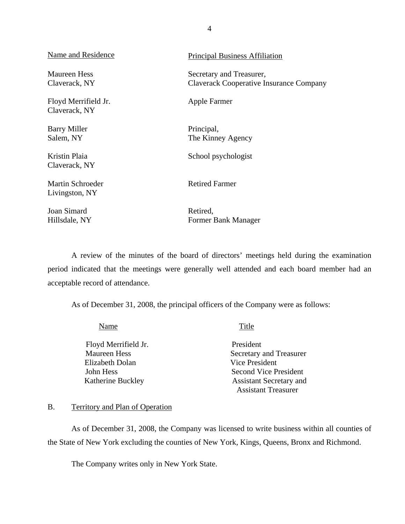| <b>Name and Residence</b>                 | <b>Principal Business Affiliation</b>                                      |
|-------------------------------------------|----------------------------------------------------------------------------|
| Maureen Hess<br>Claverack, NY             | Secretary and Treasurer,<br><b>Claverack Cooperative Insurance Company</b> |
| Floyd Merrifield Jr.<br>Claverack, NY     | Apple Farmer                                                               |
| <b>Barry Miller</b><br>Salem, NY          | Principal,<br>The Kinney Agency                                            |
| Kristin Plaia<br>Claverack, NY            | School psychologist                                                        |
| <b>Martin Schroeder</b><br>Livingston, NY | <b>Retired Farmer</b>                                                      |
| Joan Simard<br>Hillsdale, NY              | Retired,<br>Former Bank Manager                                            |

A review of the minutes of the board of directors' meetings held during the examination period indicated that the meetings were generally well attended and each board member had an acceptable record of attendance.

As of December 31, 2008, the principal officers of the Company were as follows:

| Name                 | Title                          |
|----------------------|--------------------------------|
| Floyd Merrifield Jr. | President                      |
| <b>Maureen Hess</b>  | Secretary and Treasurer        |
| Elizabeth Dolan      | Vice President                 |
| John Hess            | <b>Second Vice President</b>   |
| Katherine Buckley    | <b>Assistant Secretary and</b> |
|                      | <b>Assistant Treasurer</b>     |

#### B. Territory and Plan of Operation

As of December 31, 2008, the Company was licensed to write business within all counties of the State of New York excluding the counties of New York, Kings, Queens, Bronx and Richmond.

The Company writes only in New York State.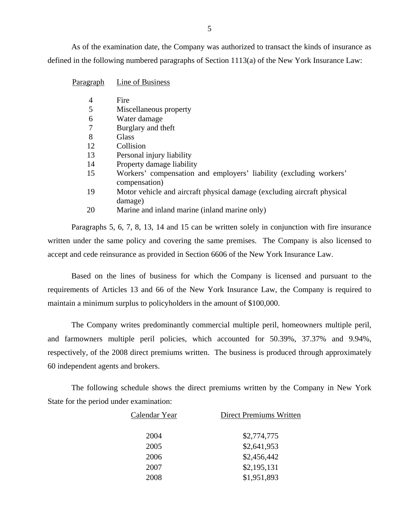As of the examination date, the Company was authorized to transact the kinds of insurance as defined in the following numbered paragraphs of Section 1113(a) of the New York Insurance Law:

| Paragraph | Line of Business                                                                    |
|-----------|-------------------------------------------------------------------------------------|
| 4         | Fire                                                                                |
| 5         | Miscellaneous property                                                              |
| 6         | Water damage                                                                        |
| 7         | Burglary and theft                                                                  |
| 8         | Glass                                                                               |
| 12        | Collision                                                                           |
| 13        | Personal injury liability                                                           |
| 14        | Property damage liability                                                           |
| 15        | Workers' compensation and employers' liability (excluding workers'<br>compensation) |
| 19        | Motor vehicle and aircraft physical damage (excluding aircraft physical<br>damage)  |
| 20        | Marine and inland marine (inland marine only)                                       |

Paragraphs 5, 6, 7, 8, 13, 14 and 15 can be written solely in conjunction with fire insurance written under the same policy and covering the same premises. The Company is also licensed to accept and cede reinsurance as provided in Section 6606 of the New York Insurance Law.

Based on the lines of business for which the Company is licensed and pursuant to the requirements of Articles 13 and 66 of the New York Insurance Law, the Company is required to maintain a minimum surplus to policyholders in the amount of \$100,000.

The Company writes predominantly commercial multiple peril, homeowners multiple peril, and farmowners multiple peril policies, which accounted for 50.39%, 37.37% and 9.94%, respectively, of the 2008 direct premiums written. The business is produced through approximately 60 independent agents and brokers.

The following schedule shows the direct premiums written by the Company in New York State for the period under examination:

| Calendar Year | <b>Direct Premiums Written</b> |
|---------------|--------------------------------|
| 2004          | \$2,774,775                    |
| 2005          | \$2,641,953                    |
| 2006          | \$2,456,442                    |
| 2007          | \$2,195,131                    |
| 2008          | \$1,951,893                    |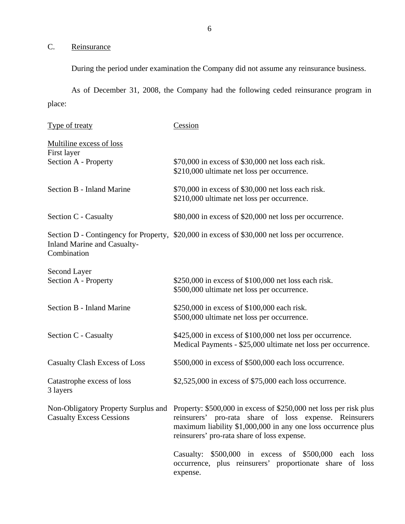# <span id="page-7-0"></span>C. Reinsurance

During the period under examination the Company did not assume any reinsurance business.

As of December 31, 2008, the Company had the following ceded reinsurance program in place:

| <b>Type of treaty</b>                             | Cession                                                                                                                                                                                                                                                                         |
|---------------------------------------------------|---------------------------------------------------------------------------------------------------------------------------------------------------------------------------------------------------------------------------------------------------------------------------------|
| Multiline excess of loss<br>First layer           |                                                                                                                                                                                                                                                                                 |
| Section A - Property                              | \$70,000 in excess of \$30,000 net loss each risk.<br>\$210,000 ultimate net loss per occurrence.                                                                                                                                                                               |
| Section B - Inland Marine                         | \$70,000 in excess of \$30,000 net loss each risk.<br>\$210,000 ultimate net loss per occurrence.                                                                                                                                                                               |
| Section C - Casualty                              | \$80,000 in excess of \$20,000 net loss per occurrence.                                                                                                                                                                                                                         |
| <b>Inland Marine and Casualty-</b><br>Combination | Section D - Contingency for Property, \$20,000 in excess of \$30,000 net loss per occurrence.                                                                                                                                                                                   |
| Second Layer<br>Section A - Property              | \$250,000 in excess of \$100,000 net loss each risk.<br>\$500,000 ultimate net loss per occurrence.                                                                                                                                                                             |
| Section B - Inland Marine                         | \$250,000 in excess of \$100,000 each risk.<br>\$500,000 ultimate net loss per occurrence.                                                                                                                                                                                      |
| Section C - Casualty                              | \$425,000 in excess of \$100,000 net loss per occurrence.<br>Medical Payments - \$25,000 ultimate net loss per occurrence.                                                                                                                                                      |
| <b>Casualty Clash Excess of Loss</b>              | \$500,000 in excess of \$500,000 each loss occurrence.                                                                                                                                                                                                                          |
| Catastrophe excess of loss<br>3 layers            | $$2,525,000$ in excess of \$75,000 each loss occurrence.                                                                                                                                                                                                                        |
| <b>Casualty Excess Cessions</b>                   | Non-Obligatory Property Surplus and Property: \$500,000 in excess of \$250,000 net loss per risk plus<br>reinsurers' pro-rata share of loss expense. Reinsurers<br>maximum liability \$1,000,000 in any one loss occurrence plus<br>reinsurers' pro-rata share of loss expense. |
|                                                   | Casualty: \$500,000 in excess of \$500,000 each loss<br>occurrence, plus reinsurers' proportionate share of loss<br>expense.                                                                                                                                                    |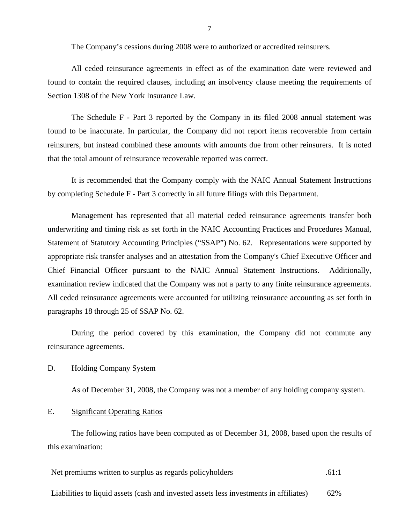The Company's cessions during 2008 were to authorized or accredited reinsurers.

<span id="page-8-0"></span>All ceded reinsurance agreements in effect as of the examination date were reviewed and found to contain the required clauses, including an insolvency clause meeting the requirements of Section 1308 of the New York Insurance Law.

The Schedule F - Part 3 reported by the Company in its filed 2008 annual statement was found to be inaccurate. In particular, the Company did not report items recoverable from certain reinsurers, but instead combined these amounts with amounts due from other reinsurers. It is noted that the total amount of reinsurance recoverable reported was correct.

It is recommended that the Company comply with the NAIC Annual Statement Instructions by completing Schedule F - Part 3 correctly in all future filings with this Department.

Management has represented that all material ceded reinsurance agreements transfer both underwriting and timing risk as set forth in the NAIC Accounting Practices and Procedures Manual, Statement of Statutory Accounting Principles ("SSAP") No. 62. Representations were supported by appropriate risk transfer analyses and an attestation from the Company's Chief Executive Officer and Chief Financial Officer pursuant to the NAIC Annual Statement Instructions. Additionally, examination review indicated that the Company was not a party to any finite reinsurance agreements. All ceded reinsurance agreements were accounted for utilizing reinsurance accounting as set forth in paragraphs 18 through 25 of SSAP No. 62.

During the period covered by this examination, the Company did not commute any reinsurance agreements.

#### D. Holding Company System

As of December 31, 2008, the Company was not a member of any holding company system.

#### E. Significant Operating Ratios

The following ratios have been computed as of December 31, 2008, based upon the results of this examination:

Net premiums written to surplus as regards policyholders .61:1

Liabilities to liquid assets (cash and invested assets less investments in affiliates) 62%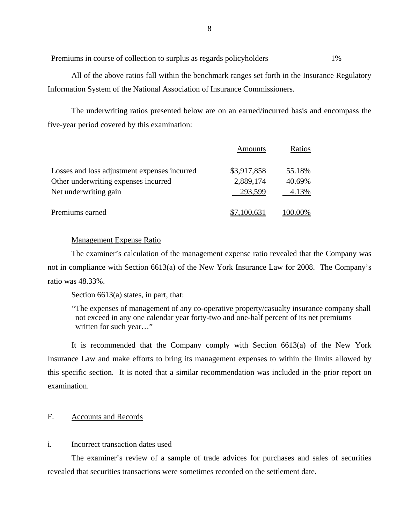Premiums in course of collection to surplus as regards policyholders 1%

All of the above ratios fall within the benchmark ranges set forth in the Insurance Regulatory Information System of the National Association of Insurance Commissioners.

The underwriting ratios presented below are on an earned/incurred basis and encompass the five-year period covered by this examination:

|                                              | Amounts     | Ratios  |
|----------------------------------------------|-------------|---------|
| Losses and loss adjustment expenses incurred | \$3,917,858 | 55.18%  |
| Other underwriting expenses incurred         | 2,889,174   | 40.69%  |
| Net underwriting gain                        | 293,599     | 4.13%   |
| Premiums earned                              | 7,100,631   | 100.00% |

#### Management Expense Ratio

The examiner's calculation of the management expense ratio revealed that the Company was not in compliance with Section 6613(a) of the New York Insurance Law for 2008. The Company's ratio was 48.33%.

Section 6613(a) states, in part, that:

 not exceed in any one calendar year forty-two and one-half percent of its net premiums "The expenses of management of any co-operative property/casualty insurance company shall written for such year…"

It is recommended that the Company comply with Section 6613(a) of the New York Insurance Law and make efforts to bring its management expenses to within the limits allowed by this specific section. It is noted that a similar recommendation was included in the prior report on examination.

#### F. Accounts and Records

#### i. Incorrect transaction dates used

The examiner's review of a sample of trade advices for purchases and sales of securities revealed that securities transactions were sometimes recorded on the settlement date.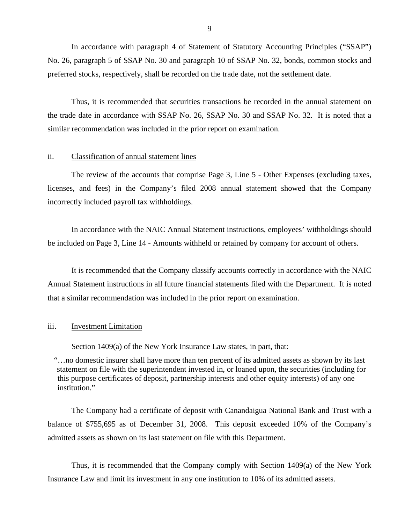In accordance with paragraph 4 of Statement of Statutory Accounting Principles ("SSAP") No. 26, paragraph 5 of SSAP No. 30 and paragraph 10 of SSAP No. 32, bonds, common stocks and preferred stocks, respectively, shall be recorded on the trade date, not the settlement date.

Thus, it is recommended that securities transactions be recorded in the annual statement on the trade date in accordance with SSAP No. 26, SSAP No. 30 and SSAP No. 32. It is noted that a similar recommendation was included in the prior report on examination.

#### ii. Classification of annual statement lines

The review of the accounts that comprise Page 3, Line 5 - Other Expenses (excluding taxes, licenses, and fees) in the Company's filed 2008 annual statement showed that the Company incorrectly included payroll tax withholdings.

In accordance with the NAIC Annual Statement instructions, employees' withholdings should be included on Page 3, Line 14 - Amounts withheld or retained by company for account of others.

It is recommended that the Company classify accounts correctly in accordance with the NAIC Annual Statement instructions in all future financial statements filed with the Department. It is noted that a similar recommendation was included in the prior report on examination.

#### iii. Investment Limitation

Section 1409(a) of the New York Insurance Law states, in part, that:

 "…no domestic insurer shall have more than ten percent of its admitted assets as shown by its last statement on file with the superintendent invested in, or loaned upon, the securities (including for this purpose certificates of deposit, partnership interests and other equity interests) of any one institution."

The Company had a certificate of deposit with Canandaigua National Bank and Trust with a balance of \$755,695 as of December 31, 2008. This deposit exceeded 10% of the Company's admitted assets as shown on its last statement on file with this Department.

Thus, it is recommended that the Company comply with Section 1409(a) of the New York Insurance Law and limit its investment in any one institution to 10% of its admitted assets.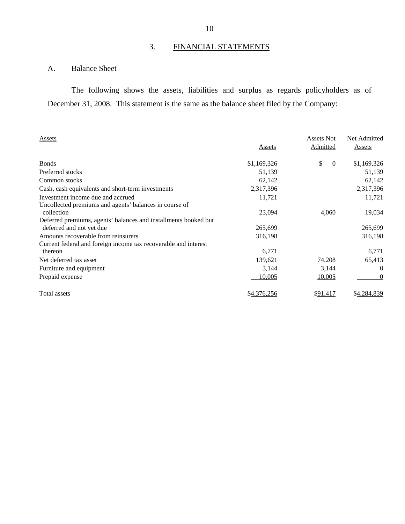# 3. FINANCIAL STATEMENTS

# A. Balance Sheet

The following shows the assets, liabilities and surplus as regards policyholders as of December 31, 2008. This statement is the same as the balance sheet filed by the Company:

| Assets                                                               |             | <b>Assets Not</b> | Net Admitted   |
|----------------------------------------------------------------------|-------------|-------------------|----------------|
|                                                                      | Assets      | Admitted          | Assets         |
| <b>Bonds</b>                                                         | \$1,169,326 | \$<br>$\theta$    | \$1,169,326    |
| Preferred stocks                                                     | 51,139      |                   | 51,139         |
| Common stocks                                                        | 62,142      |                   | 62,142         |
| Cash, cash equivalents and short-term investments                    | 2,317,396   |                   | 2,317,396      |
| Investment income due and accrued                                    | 11,721      |                   | 11,721         |
| Uncollected premiums and agents' balances in course of<br>collection | 23,094      | 4,060             | 19,034         |
| Deferred premiums, agents' balances and installments booked but      |             |                   |                |
| deferred and not yet due                                             | 265,699     |                   | 265,699        |
| Amounts recoverable from reinsurers                                  | 316,198     |                   | 316,198        |
| Current federal and foreign income tax recoverable and interest      |             |                   |                |
| thereon                                                              | 6,771       |                   | 6,771          |
| Net deferred tax asset                                               | 139,621     | 74,208            | 65,413         |
| Furniture and equipment                                              | 3,144       | 3,144             | $\overline{0}$ |
| Prepaid expense                                                      | 10,005      | 10,005            | 0              |
| Total assets                                                         | \$4,376,256 | \$91,417          | \$4,284,839    |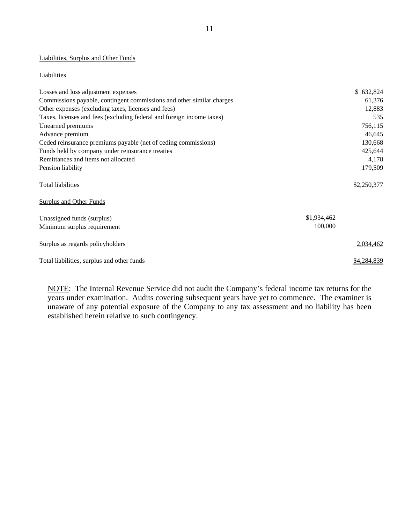#### Liabilities, Surplus and Other Funds

#### **Liabilities**

| Losses and loss adjustment expenses                                   | \$632,824              |
|-----------------------------------------------------------------------|------------------------|
| Commissions payable, contingent commissions and other similar charges | 61,376                 |
| Other expenses (excluding taxes, licenses and fees)                   | 12,883                 |
| Taxes, licenses and fees (excluding federal and foreign income taxes) | 535                    |
| Unearned premiums                                                     | 756,115                |
| Advance premium                                                       | 46,645                 |
| Ceded reinsurance premiums payable (net of ceding commissions)        | 130,668                |
| Funds held by company under reinsurance treaties                      | 425,644                |
| Remittances and items not allocated                                   | 4,178                  |
| Pension liability                                                     | 179,509                |
| <b>Total liabilities</b>                                              | \$2,250,377            |
| <b>Surplus and Other Funds</b>                                        |                        |
| Unassigned funds (surplus)<br>Minimum surplus requirement             | \$1,934,462<br>100,000 |
| Surplus as regards policyholders                                      | 2,034,462              |
| Total liabilities, surplus and other funds                            | \$4,284,839            |

NOTE: The Internal Revenue Service did not audit the Company's federal income tax returns for the years under examination. Audits covering subsequent years have yet to commence. The examiner is unaware of any potential exposure of the Company to any tax assessment and no liability has been established herein relative to such contingency.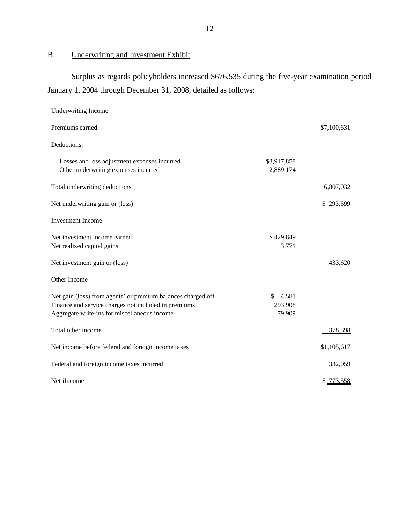# B. Underwriting and Investment Exhibit

Surplus as regards policyholders increased \$676,535 during the five-year examination period January 1, 2004 through December 31, 2008, detailed as follows:

| <b>Underwriting Income</b>                                                                                                                                           |                              |             |
|----------------------------------------------------------------------------------------------------------------------------------------------------------------------|------------------------------|-------------|
| Premiums earned                                                                                                                                                      |                              | \$7,100,631 |
| Deductions:                                                                                                                                                          |                              |             |
| Losses and loss adjustment expenses incurred<br>Other underwriting expenses incurred                                                                                 | \$3,917,858<br>2,889,174     |             |
| Total underwriting deductions                                                                                                                                        |                              | 6,807,032   |
| Net underwriting gain or (loss)                                                                                                                                      |                              | \$293,599   |
| <b>Investment Income</b>                                                                                                                                             |                              |             |
| Net investment income earned<br>Net realized capital gains                                                                                                           | \$429,849<br>3,771           |             |
| Net investment gain or (loss)                                                                                                                                        |                              | 433,620     |
| Other Income                                                                                                                                                         |                              |             |
| Net gain (loss) from agents' or premium balances charged off<br>Finance and service charges not included in premiums<br>Aggregate write-ins for miscellaneous income | \$4,581<br>293,908<br>79,909 |             |
| Total other income                                                                                                                                                   |                              | 378,398     |
| Net income before federal and foreign income taxes                                                                                                                   |                              | \$1,105,617 |
| Federal and foreign income taxes incurred                                                                                                                            |                              | 332,059     |
| Net iIncome                                                                                                                                                          |                              | \$ 773,558  |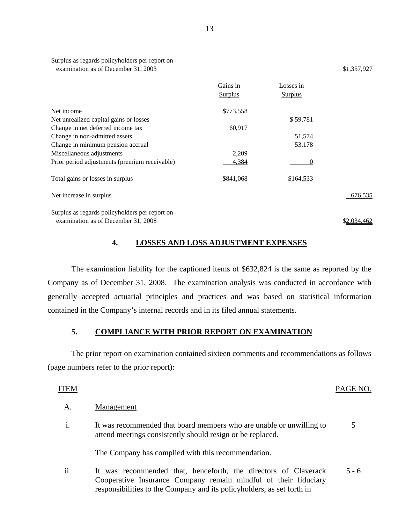| Surplus as regards policyholders per report on |             |
|------------------------------------------------|-------------|
| examination as of December 31, 2003            | \$1,357,927 |

|                                                | Gains in<br><b>Surplus</b> | Losses in<br><b>Surplus</b> |         |
|------------------------------------------------|----------------------------|-----------------------------|---------|
|                                                |                            |                             |         |
| Net income                                     | \$773,558                  |                             |         |
| Net unrealized capital gains or losses         |                            | \$59,781                    |         |
| Change in net deferred income tax              | 60,917                     |                             |         |
| Change in non-admitted assets                  |                            | 51,574                      |         |
| Change in minimum pension accrual              |                            | 53,178                      |         |
| Miscellaneous adjustments                      | 2,209                      |                             |         |
| Prior period adjustments (premium receivable)  | 4,384                      | 0                           |         |
| Total gains or losses in surplus               | \$841,068                  | \$164,533                   |         |
| Net increase in surplus                        |                            |                             | 676,535 |
| Surplus as regards policyholders per report on |                            |                             |         |

examination as of December  $31,2008$ 

# **4. LOSSES AND LOSS ADJUSTMENT EXPENSES**

The examination liability for the captioned items of \$632,824 is the same as reported by the Company as of December 31, 2008. The examination analysis was conducted in accordance with generally accepted actuarial principles and practices and was based on statistical information contained in the Company's internal records and in its filed annual statements.

### **5. COMPLIANCE WITH PRIOR REPORT ON EXAMINATION**

The prior report on examination contained sixteen comments and recommendations as follows (page numbers refer to the prior report):

#### ITEM PAGE NO.

5

#### A. Management

i. It was recommended that board members who are unable or unwilling to attend meetings consistently should resign or be replaced.

The Company has complied with this recommendation.

ii. It was recommended that, henceforth, the directors of Claverack 5 - 6 Cooperative Insurance Company remain mindful of their fiduciary responsibilities to the Company and its policyholders, as set forth in

 $\mathbb{Z}$  in the interval  $\mathbb{Z}$ 

\$2,034,462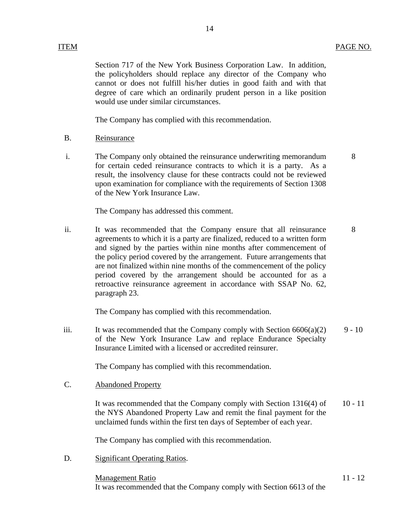Section 717 of the New York Business Corporation Law. In addition, the policyholders should replace any director of the Company who cannot or does not fulfill his/her duties in good faith and with that degree of care which an ordinarily prudent person in a like position would use under similar circumstances.

14

The Company has complied with this recommendation.

- B. Reinsurance
- i. The Company only obtained the reinsurance underwriting memorandum 8 for certain ceded reinsurance contracts to which it is a party. As a result, the insolvency clause for these contracts could not be reviewed upon examination for compliance with the requirements of Section 1308 of the New York Insurance Law.

The Company has addressed this comment.

ii. It was recommended that the Company ensure that all reinsurance 8 agreements to which it is a party are finalized, reduced to a written form and signed by the parties within nine months after commencement of the policy period covered by the arrangement. Future arrangements that are not finalized within nine months of the commencement of the policy period covered by the arrangement should be accounted for as a retroactive reinsurance agreement in accordance with SSAP No. 62, paragraph 23.

The Company has complied with this recommendation.

iii. It was recommended that the Company comply with Section  $6606(a)(2)$  9 - 10 of the New York Insurance Law and replace Endurance Specialty Insurance Limited with a licensed or accredited reinsurer.

The Company has complied with this recommendation.

**Abandoned Property** 

C. Abandoned Property<br>It was recommended that the Company comply with Section 1316(4) of 10 - 11 the NYS Abandoned Property Law and remit the final payment for the unclaimed funds within the first ten days of September of each year.

The Company has complied with this recommendation.

D. Significant Operating Ratios.

Management Ratio 11 - 12 It was recommended that the Company comply with Section 6613 of the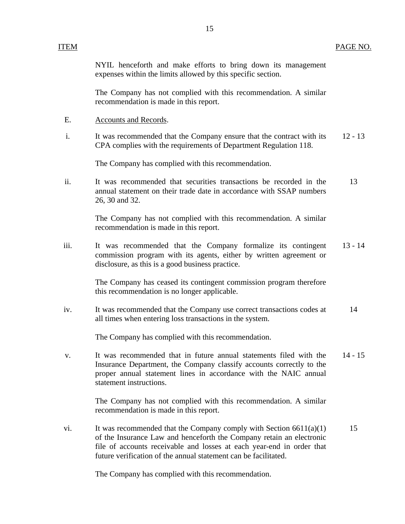NYIL henceforth and make efforts to bring down its management expenses within the limits allowed by this specific section.

The Company has not complied with this recommendation. A similar recommendation is made in this report.

- E. Accounts and Records.
- i. It was recommended that the Company ensure that the contract with its 12 13 CPA complies with the requirements of Department Regulation 118.

The Company has complied with this recommendation.

ii. It was recommended that securities transactions be recorded in the 13 annual statement on their trade date in accordance with SSAP numbers 26, 30 and 32.

> The Company has not complied with this recommendation. A similar recommendation is made in this report.

iii. It was recommended that the Company formalize its contingent 13 - 14 commission program with its agents, either by written agreement or disclosure, as this is a good business practice.

> The Company has ceased its contingent commission program therefore this recommendation is no longer applicable.

iv. It was recommended that the Company use correct transactions codes at 14 all times when entering loss transactions in the system.

The Company has complied with this recommendation.

v. It was recommended that in future annual statements filed with the 14 - 15 Insurance Department, the Company classify accounts correctly to the proper annual statement lines in accordance with the NAIC annual statement instructions.

> The Company has not complied with this recommendation. A similar recommendation is made in this report.

vi. It was recommended that the Company comply with Section  $6611(a)(1)$  15 of the Insurance Law and henceforth the Company retain an electronic file of accounts receivable and losses at each year-end in order that future verification of the annual statement can be facilitated.

The Company has complied with this recommendation.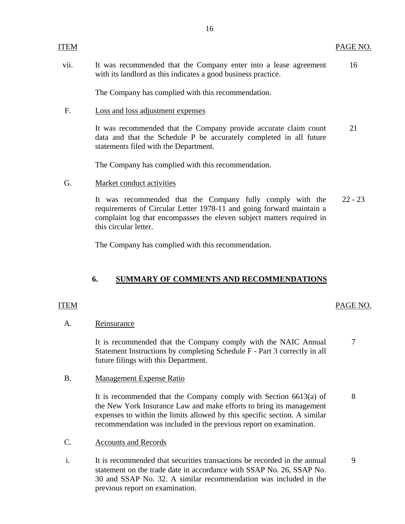vii. It was recommended that the Company enter into a lease agreement 16 with its landlord as this indicates a good business practice.

The Company has complied with this recommendation.

Loss and loss adjustment expenses

F. Loss and loss adjustment expenses<br>It was recommended that the Company provide accurate claim count 21 data and that the Schedule P be accurately completed in all future statements filed with the Department.

The Company has complied with this recommendation.

Market conduct activities

G. Market conduct activities<br>It was recommended that the Company fully comply with the 22 - 23 requirements of Circular Letter 1978-11 and going forward maintain a complaint log that encompasses the eleven subject matters required in this circular letter.

The Company has complied with this recommendation.

# **6. SUMMARY OF COMMENTS AND RECOMMENDATIONS**

#### **ITEM**

<span id="page-17-0"></span>**ITEM** 

### ITEM PAGE NO.

#### A. Reinsurance

It is recommended that the Company comply with the NAIC Annual 7 Statement Instructions by completing Schedule F - Part 3 correctly in all future filings with this Department.

B. Management Expense Ratio

It is recommended that the Company comply with Section  $6613(a)$  of 8 the New York Insurance Law and make efforts to bring its management expenses to within the limits allowed by this specific section. A similar recommendation was included in the previous report on examination.

- C. Accounts and Records
- i. It is recommended that securities transactions be recorded in the annual 9 statement on the trade date in accordance with SSAP No. 26, SSAP No. 30 and SSAP No. 32. A similar recommendation was included in the previous report on examination.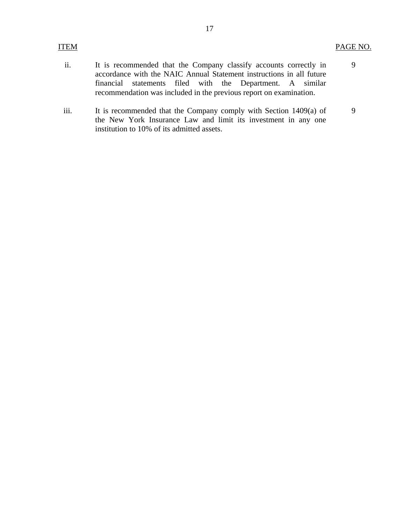9

- ii. It is recommended that the Company classify accounts correctly in accordance with the NAIC Annual Statement instructions in all future financial statements filed with the Department. A similar recommendation was included in the previous report on examination.
- iii. It is recommended that the Company comply with Section 1409(a) of the New York Insurance Law and limit its investment in any one institution to 10% of its admitted assets. 9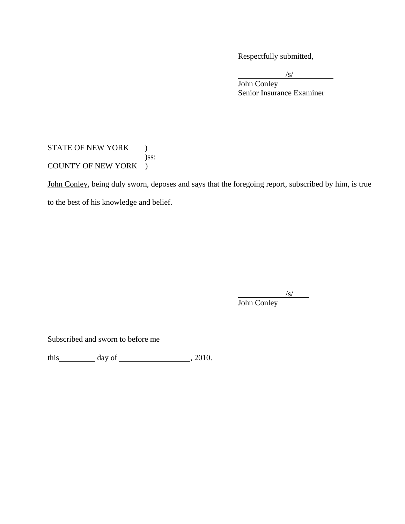Respectfully submitted,

 $\frac{1}{\sqrt{S}}$  $\sqrt{s}$ 

 Senior Insurance Examiner John Conley

# STATE OF NEW YORK ) )ss: COUNTY OF NEW YORK )

John Conley, being duly sworn, deposes and says that the foregoing report, subscribed by him, is true to the best of his knowledge and belief.

 $\sqrt{s}$ John Conley

Subscribed and sworn to before me

this day of  $\qquad \qquad$  , 2010.